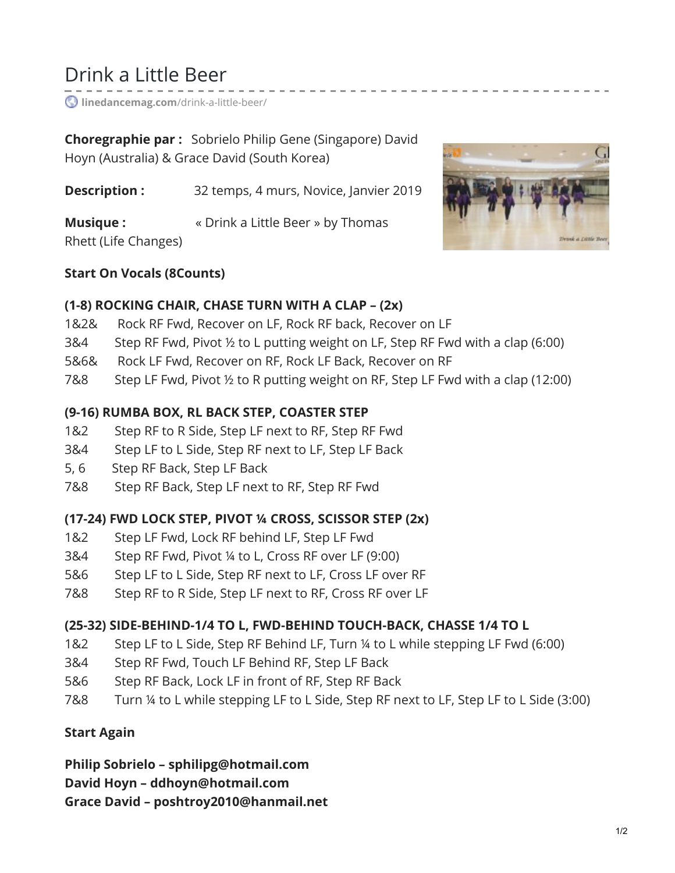# Drink a Little Beer

**[linedancemag.com](https://www.linedancemag.com/drink-a-little-beer/)**/drink-a-little-beer/

**Choregraphie par :** Sobrielo Philip Gene (Singapore) David Hoyn (Australia) & Grace David (South Korea)

**Description :** 32 temps, 4 murs, Novice, Janvier 2019

**Musique :**  $\bullet$  **Wille Really Assumes Musique** : Rhett (Life Changes)



#### **Start On Vocals (8Counts)**

#### **(1-8) ROCKING CHAIR, CHASE TURN WITH A CLAP – (2x)**

- 1&2& Rock RF Fwd, Recover on LF, Rock RF back, Recover on LF
- 3&4 Step RF Fwd, Pivot ½ to L putting weight on LF, Step RF Fwd with a clap (6:00)
- 5&6& Rock LF Fwd, Recover on RF, Rock LF Back, Recover on RF
- 7&8 Step LF Fwd, Pivot ½ to R putting weight on RF, Step LF Fwd with a clap (12:00)

#### **(9-16) RUMBA BOX, RL BACK STEP, COASTER STEP**

- 1&2 Step RF to R Side, Step LF next to RF, Step RF Fwd
- 3&4 Step LF to L Side, Step RF next to LF, Step LF Back
- 5, 6 Step RF Back, Step LF Back
- 7&8 Step RF Back, Step LF next to RF, Step RF Fwd

# **(17-24) FWD LOCK STEP, PIVOT ¼ CROSS, SCISSOR STEP (2x)**

- 1&2 Step LF Fwd, Lock RF behind LF, Step LF Fwd
- 3&4 Step RF Fwd, Pivot ¼ to L, Cross RF over LF (9:00)
- 5&6 Step LF to L Side, Step RF next to LF, Cross LF over RF
- 7&8 Step RF to R Side, Step LF next to RF, Cross RF over LF

# **(25-32) SIDE-BEHIND-1/4 TO L, FWD-BEHIND TOUCH-BACK, CHASSE 1/4 TO L**

- 1&2 Step LF to L Side, Step RF Behind LF, Turn ¼ to L while stepping LF Fwd (6:00)
- 3&4 Step RF Fwd, Touch LF Behind RF, Step LF Back
- 5&6 Step RF Back, Lock LF in front of RF, Step RF Back
- 7&8 Turn ¼ to L while stepping LF to L Side, Step RF next to LF, Step LF to L Side (3:00)

# **Start Again**

**Philip Sobrielo – sphilipg@hotmail.com**

**David Hoyn – ddhoyn@hotmail.com**

**Grace David – poshtroy2010@hanmail.net**